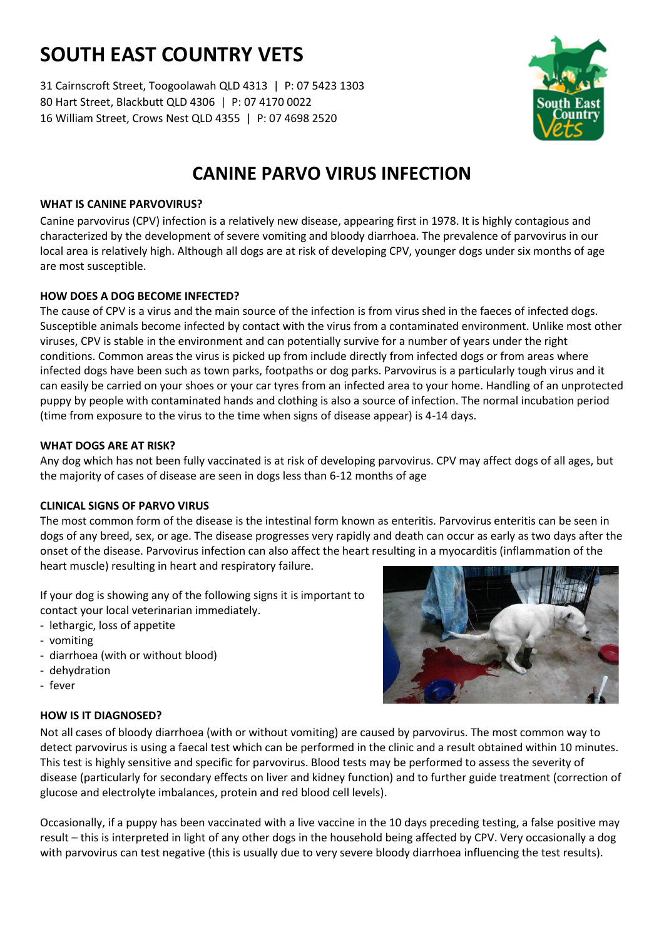# **SOUTH EAST COUNTRY VETS**

31 Cairnscroft Street, Toogoolawah QLD 4313 | P: 07 5423 1303 80 Hart Street, Blackbutt QLD 4306 | P: 07 4170 0022 16 William Street, Crows Nest QLD 4355 | P: 07 4698 2520



# **CANINE PARVO VIRUS INFECTION**

# **WHAT IS CANINE PARVOVIRUS?**

Canine parvovirus (CPV) infection is a relatively new disease, appearing first in 1978. It is highly contagious and characterized by the development of severe vomiting and bloody diarrhoea. The prevalence of parvovirus in our local area is relatively high. Although all dogs are at risk of developing CPV, younger dogs under six months of age are most susceptible.

# **HOW DOES A DOG BECOME INFECTED?**

The cause of CPV is a virus and the main source of the infection is from virus shed in the faeces of infected dogs. Susceptible animals become infected by contact with the virus from a contaminated environment. Unlike most other viruses, CPV is stable in the environment and can potentially survive for a number of years under the right conditions. Common areas the virus is picked up from include directly from infected dogs or from areas where infected dogs have been such as town parks, footpaths or dog parks. Parvovirus is a particularly tough virus and it can easily be carried on your shoes or your car tyres from an infected area to your home. Handling of an unprotected puppy by people with contaminated hands and clothing is also a source of infection. The normal incubation period (time from exposure to the virus to the time when signs of disease appear) is 4-14 days.

# **WHAT DOGS ARE AT RISK?**

Any dog which has not been fully vaccinated is at risk of developing parvovirus. CPV may affect dogs of all ages, but the majority of cases of disease are seen in dogs less than 6-12 months of age

# **CLINICAL SIGNS OF PARVO VIRUS**

The most common form of the disease is the intestinal form known as enteritis. Parvovirus enteritis can be seen in dogs of any breed, sex, or age. The disease progresses very rapidly and death can occur as early as two days after the onset of the disease. Parvovirus infection can also affect the heart resulting in a myocarditis (inflammation of the heart muscle) resulting in heart and respiratory failure.

If your dog is showing any of the following signs it is important to contact your local veterinarian immediately.

- lethargic, loss of appetite
- vomiting
- diarrhoea (with or without blood)
- dehydration
- fever

# **HOW IS IT DIAGNOSED?**



Not all cases of bloody diarrhoea (with or without vomiting) are caused by parvovirus. The most common way to detect parvovirus is using a faecal test which can be performed in the clinic and a result obtained within 10 minutes. This test is highly sensitive and specific for parvovirus. Blood tests may be performed to assess the severity of disease (particularly for secondary effects on liver and kidney function) and to further guide treatment (correction of glucose and electrolyte imbalances, protein and red blood cell levels).

Occasionally, if a puppy has been vaccinated with a live vaccine in the 10 days preceding testing, a false positive may result – this is interpreted in light of any other dogs in the household being affected by CPV. Very occasionally a dog with parvovirus can test negative (this is usually due to very severe bloody diarrhoea influencing the test results).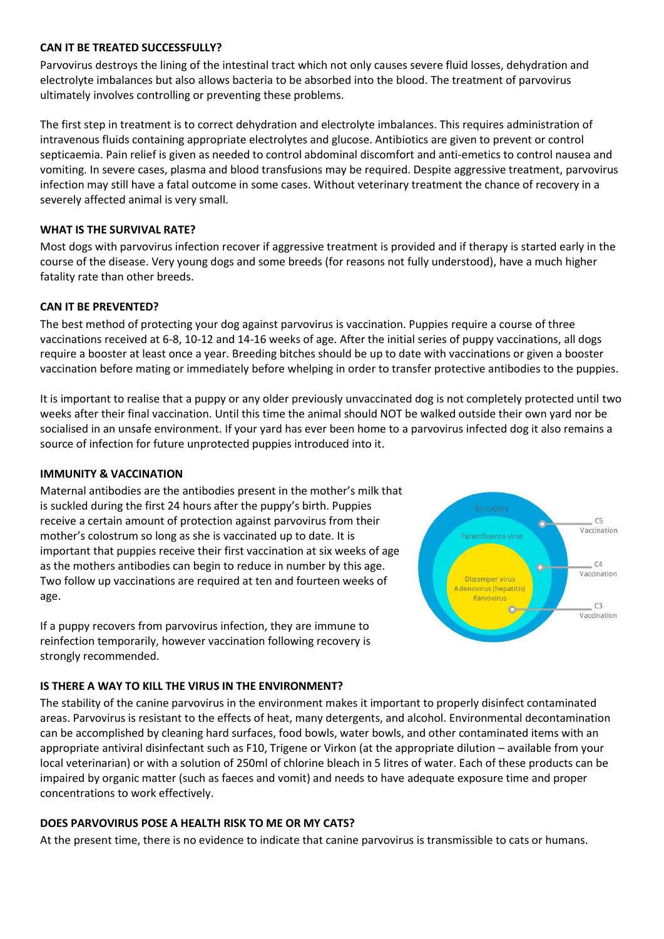#### **CAN IT BE TREATED SUCCESSFULLY?**

Parvovirus destroys the lining of the intestinal tract which not only causes severe fluid losses, dehydration and electrolyte imbalances but also allows bacteria to be absorbed into the blood. The treatment of parvovirus ultimately involves controlling or preventing these problems.

The first step in treatment is to correct dehydration and electrolyte imbalances. This requires administration of intravenous fluids containing appropriate electrolytes and glucose. Antibiotics are given to prevent or control septicaemia. Pain relief is given as needed to control abdominal discomfort and anti-emetics to control nausea and vomiting. In severe cases, plasma and blood transfusions may be required. Despite aggressive treatment, parvovirus infection may still have a fatal outcome in some cases. Without veterinary treatment the chance of recovery in a severely affected animal is very small.

#### **WHAT IS THE SURVIVAL RATE?**

Most dogs with parvovirus infection recover if aggressive treatment is provided and if therapy is started early in the course of the disease. Very young dogs and some breeds (for reasons not fully understood), have a much higher fatality rate than other breeds.

#### **CAN IT BE PREVENTED?**

The best method of protecting your dog against parvovirus is vaccination. Puppies require a course of three vaccinations received at 6-8, 10-12 and 14-16 weeks of age. After the initial series of puppy vaccinations, all dogs require a booster at least once a year. Breeding bitches should be up to date with vaccinations or given a booster vaccination before mating or immediately before whelping in order to transfer protective antibodies to the puppies.

It is important to realise that a puppy or any older previously unvaccinated dog is not completely protected until two weeks after their final vaccination. Until this time the animal should NOT be walked outside their own yard nor be socialised in an unsafe environment. If your yard has ever been home to a parvovirus infected dog it also remains a source of infection for future unprotected puppies introduced into it.

#### **IMMUNITY & VACCINATION**

Maternal antibodies are the antibodies present in the mother's milk that is suckled during the first 24 hours after the puppy's birth. Puppies receive a certain amount of protection against parvovirus from their mother's colostrum so long as she is vaccinated up to date. It is important that puppies receive their first vaccination at six weeks of age as the mothers antibodies can begin to reduce in number by this age. Two follow up vaccinations are required at ten and fourteen weeks of age.

If a puppy recovers from parvovirus infection, they are immune to reinfection temporarily, however vaccination following recovery is strongly recommended.



#### **IS THERE A WAY TO KILL THE VIRUS IN THE ENVIRONMENT?**

The stability of the canine parvovirus in the environment makes it important to properly disinfect contaminated areas. Parvovirus is resistant to the effects of heat, many detergents, and alcohol. Environmental decontamination can be accomplished by cleaning hard surfaces, food bowls, water bowls, and other contaminated items with an appropriate antiviral disinfectant such as F10, Trigene or Virkon (at the appropriate dilution – available from your local veterinarian) or with a solution of 250ml of chlorine bleach in 5 litres of water. Each of these products can be impaired by organic matter (such as faeces and vomit) and needs to have adequate exposure time and proper concentrations to work effectively.

# **DOES PARVOVIRUS POSE A HEALTH RISK TO ME OR MY CATS?**

At the present time, there is no evidence to indicate that canine parvovirus is transmissible to cats or humans.